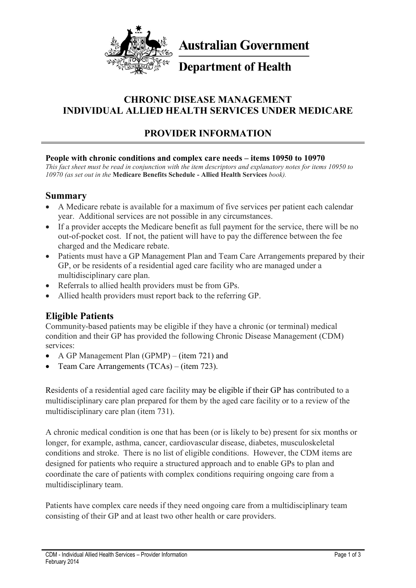

**Australian Government** 

# **Department of Health**

# **CHRONIC DISEASE MANAGEMENT INDIVIDUAL ALLIED HEALTH SERVICES UNDER MEDICARE**

# **PROVIDER INFORMATION**

#### **People with chronic conditions and complex care needs – items 10950 to 10970**

*This fact sheet must be read in conjunction with the item descriptors and explanatory notes for items 10950 to 10970 (as set out in the* **Medicare Benefits Schedule - Allied Health Services** *book).*

#### **Summary**

- A Medicare rebate is available for a maximum of five services per patient each calendar year. Additional services are not possible in any circumstances.
- If a provider accepts the Medicare benefit as full payment for the service, there will be no out-of-pocket cost. If not, the patient will have to pay the difference between the fee charged and the Medicare rebate.
- Patients must have a GP Management Plan and Team Care Arrangements prepared by their GP, or be residents of a residential aged care facility who are managed under a multidisciplinary care plan.
- Referrals to allied health providers must be from GPs.
- Allied health providers must report back to the referring GP.

# **Eligible Patients**

Community-based patients may be eligible if they have a chronic (or terminal) medical condition and their GP has provided the following Chronic Disease Management (CDM) services:

- A GP Management Plan (GPMP) (item 721) and
- Team Care Arrangements (TCAs) (item 723).

Residents of a residential aged care facility may be eligible if their GP has contributed to a multidisciplinary care plan prepared for them by the aged care facility or to a review of the multidisciplinary care plan (item 731).

A chronic medical condition is one that has been (or is likely to be) present for six months or longer, for example, asthma, cancer, cardiovascular disease, diabetes, musculoskeletal conditions and stroke. There is no list of eligible conditions. However, the CDM items are designed for patients who require a structured approach and to enable GPs to plan and coordinate the care of patients with complex conditions requiring ongoing care from a multidisciplinary team.

Patients have complex care needs if they need ongoing care from a multidisciplinary team consisting of their GP and at least two other health or care providers.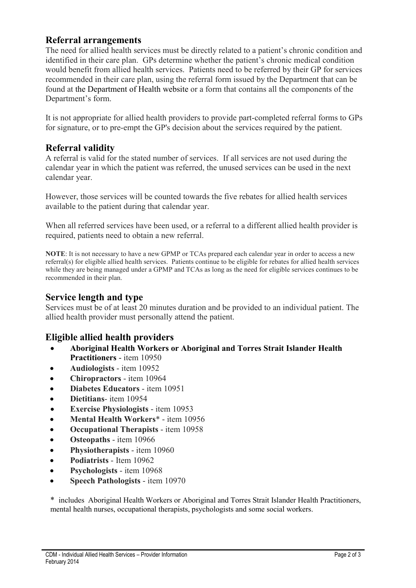#### **Referral arrangements**

The need for allied health services must be directly related to a patient's chronic condition and identified in their care plan. GPs determine whether the patient's chronic medical condition would benefit from allied health services. Patients need to be referred by their GP for services recommended in their care plan, using the referral form issued by the Department that can be found at the [Department of Health website](http://www.health.gov.au/mbsprimarycareitems) or a form that contains all the components of the Department's form.

It is not appropriate for allied health providers to provide part-completed referral forms to GPs for signature, or to pre-empt the GP's decision about the services required by the patient.

#### **Referral validity**

A referral is valid for the stated number of services. If all services are not used during the calendar year in which the patient was referred, the unused services can be used in the next calendar year.

However, those services will be counted towards the five rebates for allied health services available to the patient during that calendar year.

When all referred services have been used, or a referral to a different allied health provider is required, patients need to obtain a new referral.

**NOTE**: It is not necessary to have a new GPMP or TCAs prepared each calendar year in order to access a new referral(s) for eligible allied health services. Patients continue to be eligible for rebates for allied health services while they are being managed under a GPMP and TCAs as long as the need for eligible services continues to be recommended in their plan.

#### **Service length and type**

Services must be of at least 20 minutes duration and be provided to an individual patient. The allied health provider must personally attend the patient.

# **Eligible allied health providers**

- **Aboriginal Health Workers or Aboriginal and Torres Strait Islander Health Practitioners** - item 10950
- **Audiologists** item 10952
- **Chiropractors** item 10964
- **Diabetes Educators** item 10951
- **• Dietitians** item 10954
- **Exercise Physiologists** item 10953
- **Mental Health Workers**\* item 10956
- **Occupational Therapists** item 10958
- **Osteopaths** item 10966
- **Physiotherapists** item 10960
- **Podiatrists** Item 10962
- **Psychologists** item 10968
- **Speech Pathologists** item 10970

\* includes Aboriginal Health Workers or Aboriginal and Torres Strait Islander Health Practitioners, mental health nurses, occupational therapists, psychologists and some social workers.